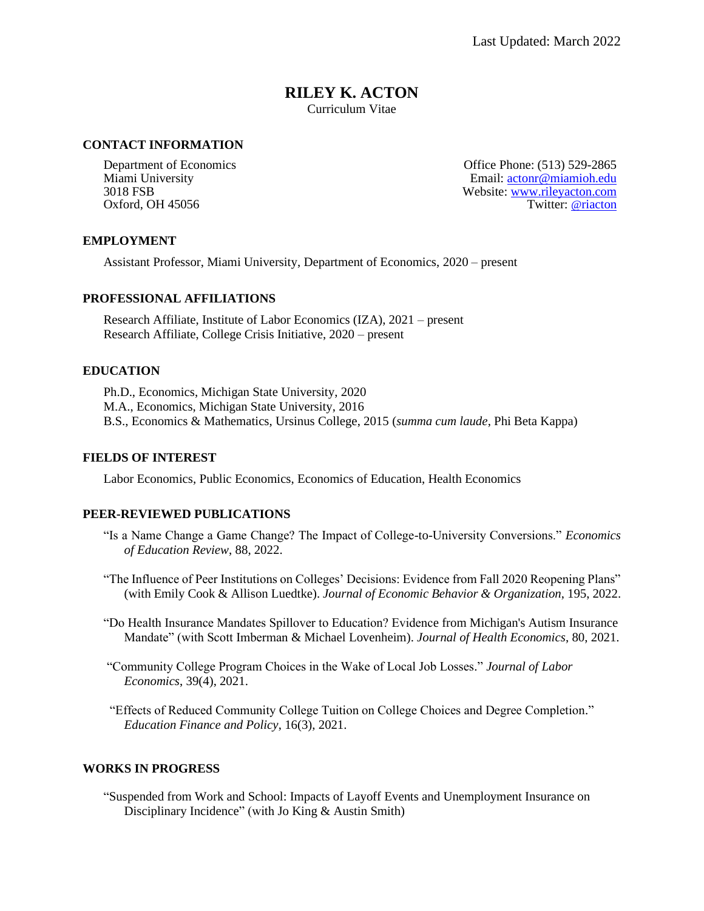# **RILEY K. ACTON**

Curriculum Vitae

# **CONTACT INFORMATION**

Department of Economics Office Phone: (513) 529-2865 Miami University Email: [actonr@miamioh.edu](mailto:actonr@miamioh.edu) 3018 FSB Website: [www.rileyacton.com](http://www.rileyacton.com/) Oxford, OH 45056 Twitter: [@](https://twitter.com/riacton)[riacton](https://twitter.com/riacton)

# **EMPLOYMENT**

Assistant Professor, Miami University, Department of Economics, 2020 – present

#### **PROFESSIONAL AFFILIATIONS**

Research Affiliate, Institute of Labor Economics (IZA), 2021 – present Research Affiliate, College Crisis Initiative, 2020 – present

#### **EDUCATION**

Ph.D., Economics, Michigan State University, 2020 M.A., Economics, Michigan State University, 2016 B.S., Economics & Mathematics, Ursinus College, 2015 (*summa cum laude*, Phi Beta Kappa)

#### **FIELDS OF INTEREST**

Labor Economics, Public Economics, Economics of Education, Health Economics

#### **PEER-REVIEWED PUBLICATIONS**

- "Is a Name Change a Game Change? The Impact of College-to-University Conversions." *Economics of Education Review*, 88, 2022.
- "The Influence of Peer Institutions on Colleges' Decisions: Evidence from Fall 2020 Reopening Plans" (with Emily Cook & Allison Luedtke). *Journal of Economic Behavior & Organization*, 195, 2022.
- "Do Health Insurance Mandates Spillover to Education? Evidence from Michigan's Autism Insurance Mandate" (with Scott Imberman & Michael Lovenheim). *Journal of Health Economics*, 80, 2021.
- "Community College Program Choices in the Wake of Local Job Losses." *Journal of Labor Economics*, 39(4), 2021.

 "Effects of Reduced Community College Tuition on College Choices and Degree Completion." *Education Finance and Policy*, 16(3), 2021.

# **WORKS IN PROGRESS**

"Suspended from Work and School: Impacts of Layoff Events and Unemployment Insurance on Disciplinary Incidence" (with Jo King & Austin Smith)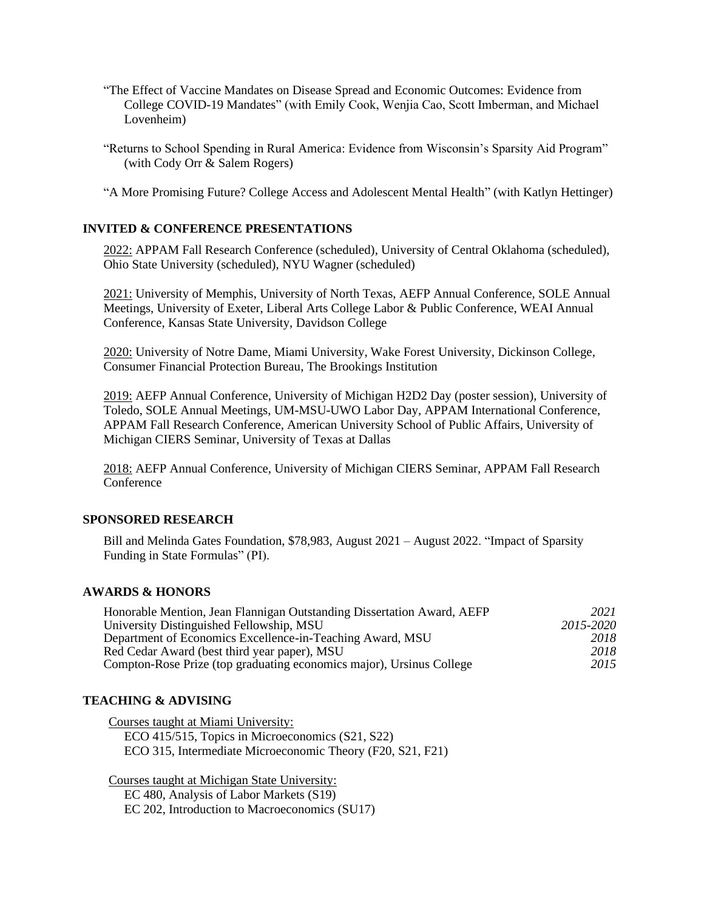- "The Effect of Vaccine Mandates on Disease Spread and Economic Outcomes: Evidence from College COVID-19 Mandates" (with Emily Cook, Wenjia Cao, Scott Imberman, and Michael Lovenheim)
- "Returns to School Spending in Rural America: Evidence from Wisconsin's Sparsity Aid Program" (with Cody Orr & Salem Rogers)

"A More Promising Future? College Access and Adolescent Mental Health" (with Katlyn Hettinger)

# **INVITED & CONFERENCE PRESENTATIONS**

2022: APPAM Fall Research Conference (scheduled), University of Central Oklahoma (scheduled), Ohio State University (scheduled), NYU Wagner (scheduled)

2021: University of Memphis, University of North Texas, AEFP Annual Conference, SOLE Annual Meetings, University of Exeter, Liberal Arts College Labor & Public Conference, WEAI Annual Conference, Kansas State University, Davidson College

2020: University of Notre Dame, Miami University, Wake Forest University, Dickinson College, Consumer Financial Protection Bureau, The Brookings Institution

2019: AEFP Annual Conference, University of Michigan H2D2 Day (poster session), University of Toledo, SOLE Annual Meetings, UM-MSU-UWO Labor Day, APPAM International Conference, APPAM Fall Research Conference, American University School of Public Affairs, University of Michigan CIERS Seminar, University of Texas at Dallas

2018: AEFP Annual Conference, University of Michigan CIERS Seminar, APPAM Fall Research **Conference** 

#### **SPONSORED RESEARCH**

Bill and Melinda Gates Foundation, \$78,983, August 2021 – August 2022. "Impact of Sparsity Funding in State Formulas" (PI).

# **AWARDS & HONORS**

| Honorable Mention, Jean Flannigan Outstanding Dissertation Award, AEFP | 2021      |
|------------------------------------------------------------------------|-----------|
| University Distinguished Fellowship, MSU                               | 2015-2020 |
| Department of Economics Excellence-in-Teaching Award, MSU              | 2018      |
| Red Cedar Award (best third year paper), MSU                           | 2018      |
| Compton-Rose Prize (top graduating economics major), Ursinus College   | 2015      |

# **TEACHING & ADVISING**

Courses taught at Miami University: ECO 415/515, Topics in Microeconomics (S21, S22) ECO 315, Intermediate Microeconomic Theory (F20, S21, F21)

Courses taught at Michigan State University: EC 480, Analysis of Labor Markets (S19) EC 202, Introduction to Macroeconomics (SU17)